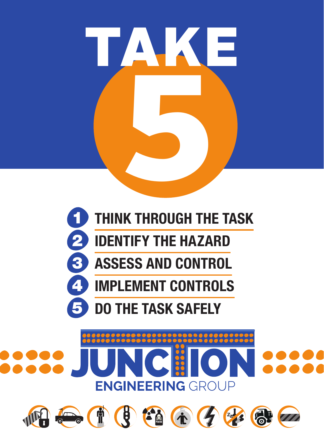



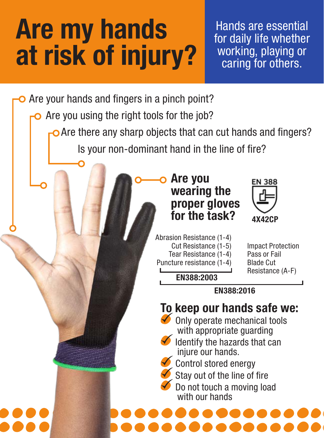## Are my hands at risk of injury?

Hands are essential for daily life whether working, playing or caring for others.

Are your hands and fingers in a pinch point?

Are you using the right tools for the job?

O Are there any sharp objects that can cut hands and fingers?

Is your non-dominant hand in the line of fire?

Are you wearing the proper gloves for the task?



Impact Protection Pass or Fail Blade Cut Resistance (A-F)

Tear Resistance (1-4) Puncture resistance (1-4) EN388:2003

Abrasion Resistance (1-4) Cut Resistance (1-5)

EN388:2016

## To keep our hands safe we:

 $\blacktriangleright$  Only operate mechanical tools with appropriate guarding



Control stored energy

Stay out of the line of fire

 Do not touch a moving load with our hands